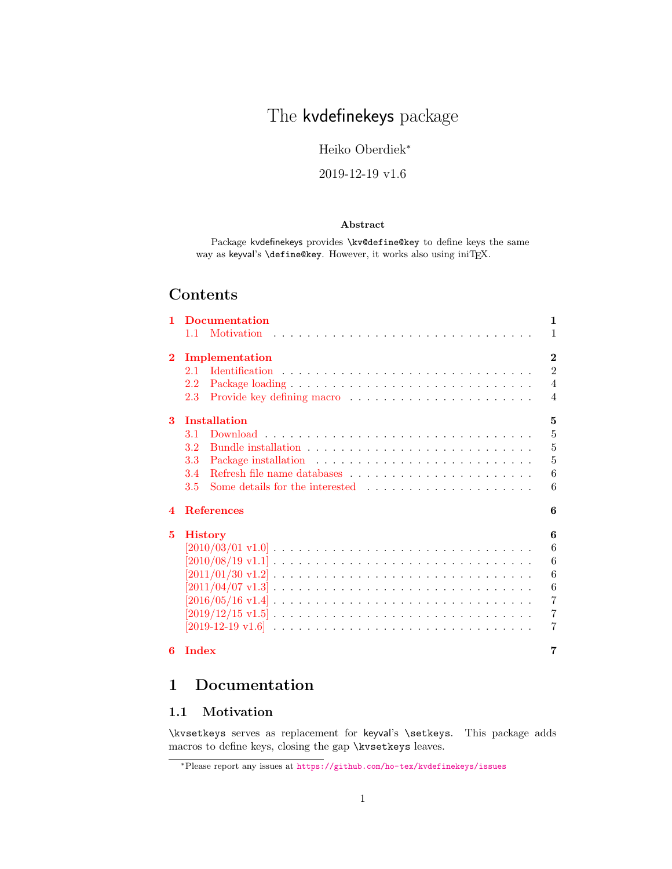# The kvdefinekeys package

Heiko Oberdiek<sup>∗</sup>

2019-12-19 v1.6

## Abstract

Package kvdefinekeys provides \kv@define@key to define keys the same way as keyval's \define@key. However, it works also using iniTEX.

# Contents

| 1                | <b>Documentation</b>                                                                                                   | 1              |
|------------------|------------------------------------------------------------------------------------------------------------------------|----------------|
|                  | $1.1 -$                                                                                                                | 1              |
| $\bf{2}$         | Implementation                                                                                                         | $\bf{2}$       |
|                  | 2.1                                                                                                                    | $\mathfrak{D}$ |
|                  | 2.2                                                                                                                    | $\overline{4}$ |
|                  | 2.3                                                                                                                    | $\overline{4}$ |
| 3                | <b>Installation</b>                                                                                                    | 5              |
|                  | 3.1                                                                                                                    | 5              |
|                  | 3.2                                                                                                                    | 5              |
|                  | 3.3                                                                                                                    | 5              |
|                  | 3.4                                                                                                                    | 6              |
|                  | Some details for the interested $\dots$ , $\dots$ , $\dots$ , $\dots$ , $\dots$ , $\dots$ , $\dots$<br>3.5             | 6              |
| $\boldsymbol{4}$ | <b>References</b>                                                                                                      | 6              |
| 5                | <b>History</b>                                                                                                         | 6              |
|                  | $[2010/03/01 \text{ v}1.0]$                                                                                            | 6              |
|                  | $[2010/08/19 \text{ v}1.1] \ldots \ldots \ldots \ldots \ldots \ldots \ldots \ldots \ldots \ldots \ldots$               | 6              |
|                  |                                                                                                                        | 6              |
|                  | $[2011/04/07 \text{ v}1.3] \ldots \ldots \ldots \ldots \ldots \ldots \ldots \ldots \ldots \ldots \ldots \ldots \ldots$ | 6              |
|                  | $[2016/05/16 \text{ v}1.4] \ldots \ldots \ldots \ldots \ldots \ldots \ldots \ldots \ldots \ldots \ldots$               | $\overline{7}$ |
|                  | $[2019/12/15 \text{ v}1.5] \ldots \ldots \ldots \ldots \ldots \ldots \ldots \ldots \ldots \ldots \ldots$               | $\overline{7}$ |
|                  |                                                                                                                        | 7              |
| 6                | <b>Index</b>                                                                                                           | 7              |

# <span id="page-0-0"></span>1 Documentation

# <span id="page-0-1"></span>1.1 Motivation

\kvsetkeys serves as replacement for keyval's \setkeys. This package adds macros to define keys, closing the gap \kvsetkeys leaves.

<sup>∗</sup>Please report any issues at <https://github.com/ho-tex/kvdefinekeys/issues>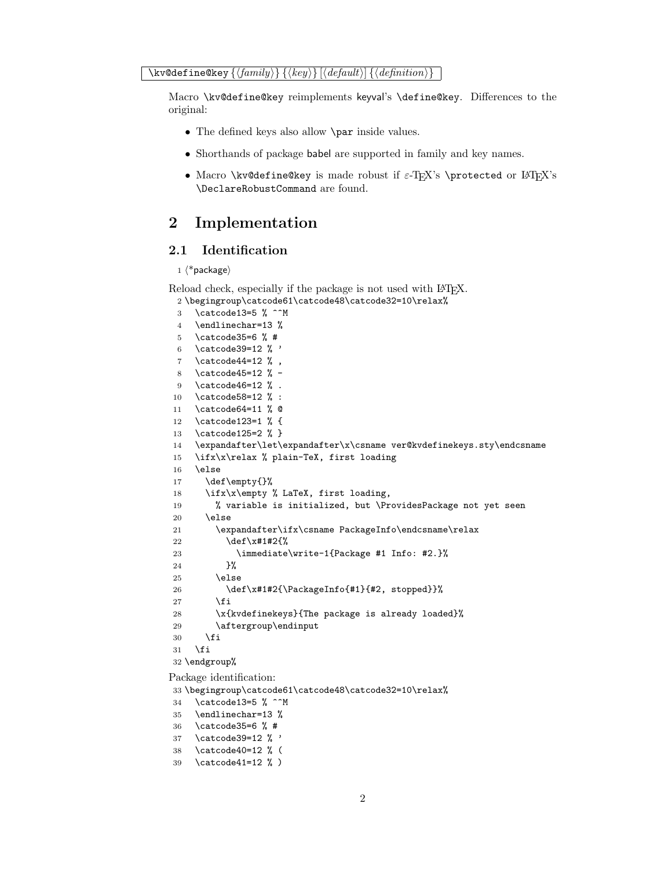<span id="page-1-28"></span>Macro \kv@define@key reimplements keyval's \define@key. Differences to the original:

- The defined keys also allow **\par** inside values.
- Shorthands of package babel are supported in family and key names.
- Macro \kv@define@key is made robust if  $\varepsilon$ -TEX's \protected or LATEX's \DeclareRobustCommand are found.

# <span id="page-1-0"></span>2 Implementation

## <span id="page-1-1"></span>2.1 Identification

#### $1$   $\langle$ \*package $\rangle$

```
Reload check, especially if the package is not used with LAT<sub>EX</sub>.
  2 \begingroup\catcode61\catcode48\catcode32=10\relax%
```

```
3 \catcode13=5 % ^^M
4 \endlinechar=13 %
5 \catcode35=6 % #
6 \catcode39=12 % '
7 \catcode44=12 %,
8 \catcode45=12 % -
9 \catcode46=12 % .
10 \catcode58=12 % :
11 \catcode64=11 % @
12 \catcode123=1 % {
13 \catcode125=2 % }
14 \expandafter\let\expandafter\x\csname ver@kvdefinekeys.sty\endcsname
15 \ifx\x\relax % plain-TeX, first loading
16 \else
17 \def\empty{}%
18 \ifx\x\empty % LaTeX, first loading,
19 % variable is initialized, but \ProvidesPackage not yet seen
20 \qquad \text{leless}21 \expandafter\ifx\csname PackageInfo\endcsname\relax
22 \det\x +1#2{%
23 \immediate\write-1{Package #1 Info: #2.}%
24 }%
25 \else
26 \def\x#1#2{\PackageInfo{#1}{#2, stopped}}%
27 \setminusfi
28 \x{kvdefinekeys}{The package is already loaded}%
29 \aftergroup\endinput
30 \overline{\ } \}31 \fi
32 \endgroup%
```
<span id="page-1-32"></span><span id="page-1-31"></span><span id="page-1-30"></span><span id="page-1-29"></span><span id="page-1-27"></span><span id="page-1-21"></span><span id="page-1-2"></span>Package identification:

```
33 \begingroup\catcode61\catcode48\catcode32=10\relax%
```
<span id="page-1-15"></span>34 \catcode13=5 % ^^M

```
35 \endlinechar=13 %
```

```
36 \catcode35=6 % #
```

```
37 \catcode39=12 % '
```

```
38 \catcode40=12 % (
```

```
39 \catcode41=12 % )
```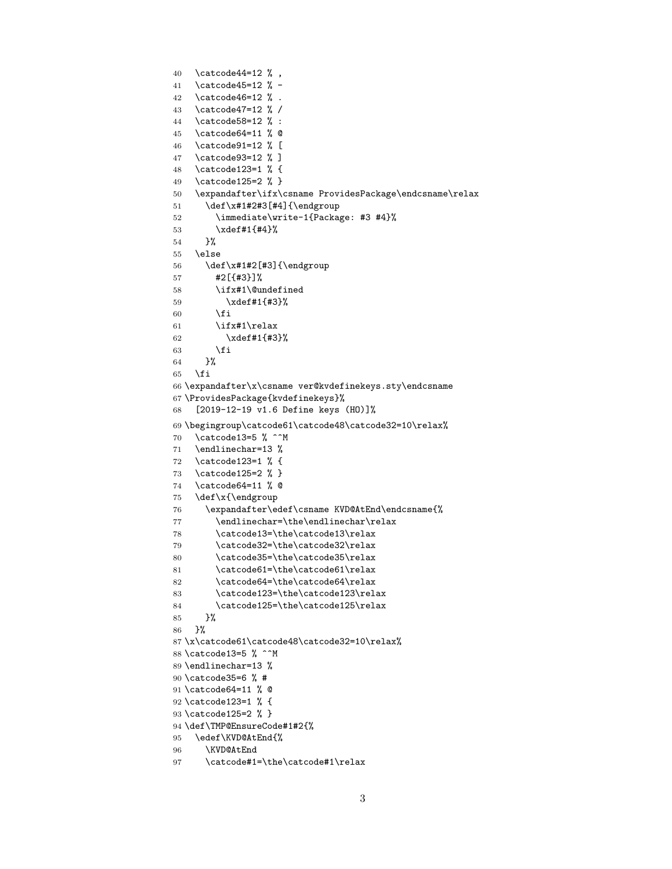```
40 \catcode44=12 \%,
41 \catcode45=12 % -
42 \catcode46=12 % .
43 \catcode47=12 % /
44 \catcode58=12 % :
45 \catcode64=11 % @
46 \catcode91=12 % [
47 \catcode93=12 % ]
48 \catcode123=1 % {
49 \catcode125=2 % }
50 \expandafter\ifx\csname ProvidesPackage\endcsname\relax
51 \def\x#1#2#3[#4]{\endgroup
52 \immediate\write-1{Package: #3 #4}%
53 \xdef#1{#4}%
54 }%
55 \else
56 \def\x#1#2[#3]{\endgroup
57 #2[{#3}]%
58 \ifx#1\@undefined
59 \xdef#1{#3}%
60 \overline{\ } \}61 \ifx#1\relax
62 \xdef#1{#3}%
63 \qquad \qquad \text{f} i
64 }%
65 \fi
66 \expandafter\x\csname ver@kvdefinekeys.sty\endcsname
67 \ProvidesPackage{kvdefinekeys}%
68 [2019-12-19 v1.6 Define keys (HO)]%
69 \begingroup\catcode61\catcode48\catcode32=10\relax%
70 \catcode13=5 % ^^M
71 \endlinechar=13 %
72 \catcode123=1 % {
73 \catcode125=2 % }
74 \catcode64=11 % @
75 \def\x{\endgroup
76 \expandafter\edef\csname KVD@AtEnd\endcsname{%
77 \endlinechar=\the\endlinechar\relax
78 \catcode13=\the\catcode13\relax
79 \catcode32=\the\catcode32\relax
80 \catcode35=\the\catcode35\relax
81 \catcode61=\the\catcode61\relax
82 \catcode64=\the\catcode64\relax
83 \catcode123=\the\catcode123\relax
84 \catcode125=\the\catcode125\relax
85 }%
86 }%
87 \x\catcode61\catcode48\catcode32=10\relax%
88 \catcode13=5 % ^^M
89 \endlinechar=13 %
90 \catcode35=6 % #
91 \catcode64=11 % @
92 \catcode123=1 % {
93 \catcode125=2 % }
94 \def\TMP@EnsureCode#1#2{%
95 \edef\KVD@AtEnd{%
96 \KVD@AtEnd
97 \catcode#1=\the\catcode#1\relax
```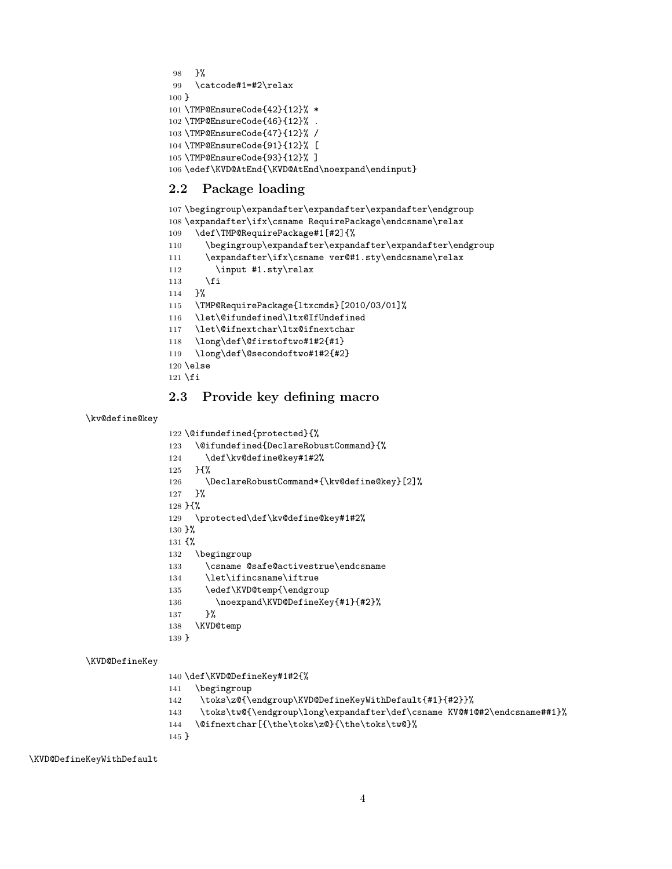```
98 }%
99 \catcode#1=#2\relax
100 }
101 \TMP@EnsureCode{42}{12}% *
102 \TMP@EnsureCode{46}{12}% .
103 \TMP@EnsureCode{47}{12}% /
104 \TMP@EnsureCode{91}{12}% [
105 \TMP@EnsureCode{93}{12}% ]
106 \edef\KVD@AtEnd{\KVD@AtEnd\noexpand\endinput}
```
### <span id="page-3-30"></span><span id="page-3-29"></span><span id="page-3-28"></span><span id="page-3-15"></span><span id="page-3-0"></span>2.2 Package loading

```
107 \begingroup\expandafter\expandafter\expandafter\endgroup
108 \expandafter\ifx\csname RequirePackage\endcsname\relax
109 \def\TMP@RequirePackage#1[#2]{%
110 \begingroup\expandafter\expandafter\expandafter\endgroup
111 \expandafter\ifx\csname ver@#1.sty\endcsname\relax
112 \input #1.sty\relax
113 \fi
114 }%
115 \TMP@RequirePackage{ltxcmds}[2010/03/01]%
116 \let\@ifundefined\ltx@IfUndefined
117 \let\@ifnextchar\ltx@ifnextchar
118 \long\def\@firstoftwo#1#2{#1}
119 \long\def\@secondoftwo#1#2{#2}
120 \else
121 \fi
```
## <span id="page-3-32"></span><span id="page-3-8"></span><span id="page-3-5"></span><span id="page-3-3"></span><span id="page-3-2"></span><span id="page-3-1"></span>2.3 Provide key defining macro

#### <span id="page-3-18"></span>\kv@define@key

<span id="page-3-6"></span>\@ifundefined{protected}{%

- <span id="page-3-7"></span>\@ifundefined{DeclareRobustCommand}{%
- 124 \def\kv@define@key#1#2%
- }{%
- <span id="page-3-14"></span>126 \DeclareRobustCommand\*{\kv@define@key}[2]%
- }%
- }{%
- <span id="page-3-25"></span>\protected\def\kv@define@key#1#2%
- }%
- {%
- \begingroup
- <span id="page-3-12"></span>\csname @safe@activestrue\endcsname
- <span id="page-3-16"></span>\let\ifincsname\iftrue
- <span id="page-3-23"></span>135 \edef\KVD@temp{\endgroup
- <span id="page-3-19"></span>136 \noexpand\KVD@DefineKey{#1}{#2}%
- }%
- <span id="page-3-24"></span>\KVD@temp
- }

#### <span id="page-3-20"></span>\KVD@DefineKey

- \def\KVD@DefineKey#1#2{%
- \begingroup
- <span id="page-3-21"></span>\toks\z@{\endgroup\KVD@DefineKeyWithDefault{#1}{#2}}%
- <span id="page-3-13"></span>\toks\tw@{\endgroup\long\expandafter\def\csname KV@#1@#2\endcsname##1}%
- <span id="page-3-4"></span>\@ifnextchar[{\the\toks\z@}{\the\toks\tw@}%

}

<span id="page-3-22"></span>\KVD@DefineKeyWithDefault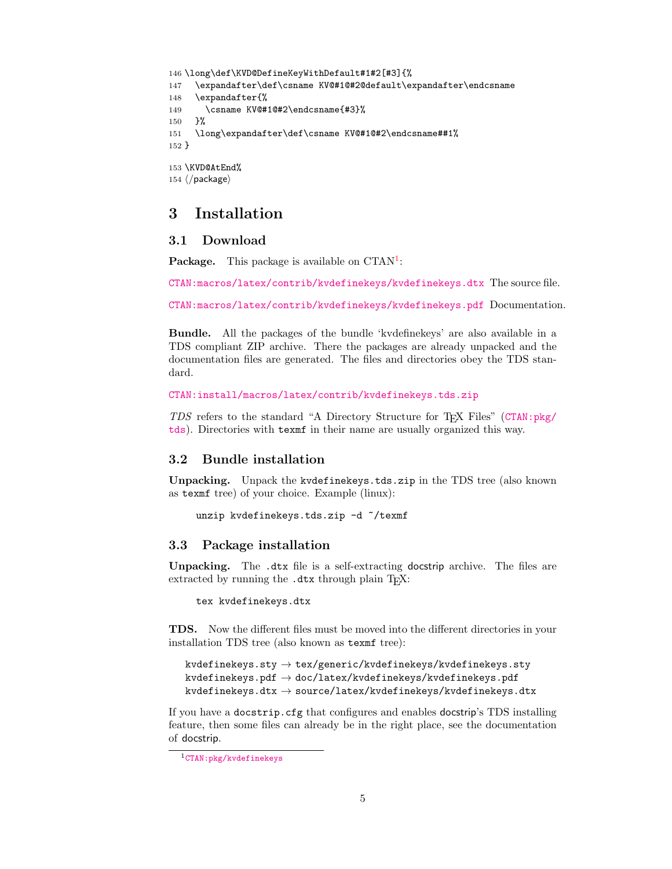```
146 \long\def\KVD@DefineKeyWithDefault#1#2[#3]{%
147 \expandafter\def\csname KV@#1@#2@default\expandafter\endcsname
148 \expandafter{%
149 \csname KV@#1@#2\endcsname{#3}%
150 }%
151 \long\expandafter\def\csname KV@#1@#2\endcsname##1%
152 }
153 \KVD@AtEnd%
154 \langle/package\rangle
```
# <span id="page-4-8"></span><span id="page-4-0"></span>3 Installation

#### <span id="page-4-1"></span>3.1 Download

**Package.** This package is available on  $CTAN^1$  $CTAN^1$ :

[CTAN:macros/latex/contrib/kvdefinekeys/kvdefinekeys.dtx](https://ctan.org/tex-archive/macros/latex/contrib/kvdefinekeys/kvdefinekeys.dtx) The source file.

[CTAN:macros/latex/contrib/kvdefinekeys/kvdefinekeys.pdf](https://ctan.org/tex-archive/macros/latex/contrib/kvdefinekeys/kvdefinekeys.pdf) Documentation.

Bundle. All the packages of the bundle 'kvdefinekeys' are also available in a TDS compliant ZIP archive. There the packages are already unpacked and the documentation files are generated. The files and directories obey the TDS standard.

```
CTAN:install/macros/latex/contrib/kvdefinekeys.tds.zip
```
TDS refers to the standard "A Directory Structure for TEX Files" ([CTAN:pkg/](http://ctan.org/pkg/tds) [tds](http://ctan.org/pkg/tds)). Directories with texmf in their name are usually organized this way.

### <span id="page-4-2"></span>3.2 Bundle installation

Unpacking. Unpack the kvdefinekeys.tds.zip in the TDS tree (also known as texmf tree) of your choice. Example (linux):

```
unzip kvdefinekeys.tds.zip -d ~/texmf
```
#### <span id="page-4-3"></span>3.3 Package installation

Unpacking. The .dtx file is a self-extracting docstrip archive. The files are extracted by running the .dtx through plain TFX:

tex kvdefinekeys.dtx

TDS. Now the different files must be moved into the different directories in your installation TDS tree (also known as texmf tree):

```
kvdefinekeys.sty \rightarrow tex/generic/kvdefinekeys/kvdefinekeys.sty
kvdefinekeys.pdf \rightarrow doc/latex/kvdefinekeys/kvdefinekeys.pdf
kvdefinekeys.dtx \rightarrow source/latex/kvdefinekeys/kvdefinekeys.dtx
```
If you have a docstrip.cfg that configures and enables docstrip's TDS installing feature, then some files can already be in the right place, see the documentation of docstrip.

<span id="page-4-4"></span><sup>1</sup>[CTAN:pkg/kvdefinekeys](http://ctan.org/pkg/kvdefinekeys)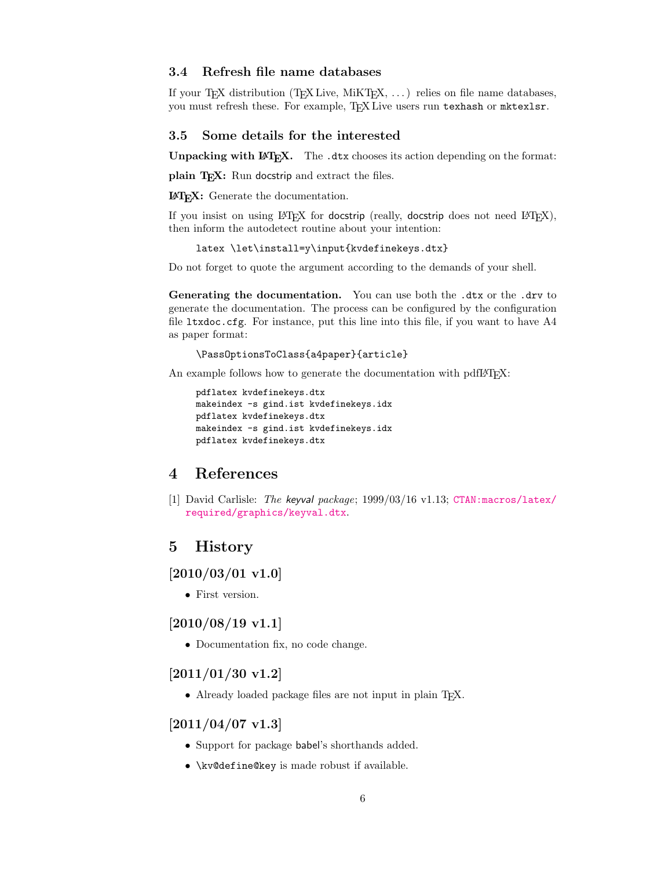#### <span id="page-5-0"></span>3.4 Refresh file name databases

If your TEX distribution (TEX Live, MiKTEX, ...) relies on file name databases, you must refresh these. For example, TEX Live users run texhash or mktexlsr.

#### <span id="page-5-1"></span>3.5 Some details for the interested

Unpacking with LATEX. The .dtx chooses its action depending on the format:

plain TEX: Run docstrip and extract the files.

LATEX: Generate the documentation.

If you insist on using  $L^2T_FX$  for docstrip (really, docstrip does not need  $L^2T_FX$ ), then inform the autodetect routine about your intention:

latex \let\install=y\input{kvdefinekeys.dtx}

Do not forget to quote the argument according to the demands of your shell.

Generating the documentation. You can use both the .dtx or the .drv to generate the documentation. The process can be configured by the configuration file  $l$ txdoc.cfg. For instance, put this line into this file, if you want to have  $A4$ as paper format:

#### \PassOptionsToClass{a4paper}{article}

An example follows how to generate the documentation with pdfI4T<sub>E</sub>X:

```
pdflatex kvdefinekeys.dtx
makeindex -s gind.ist kvdefinekeys.idx
pdflatex kvdefinekeys.dtx
makeindex -s gind.ist kvdefinekeys.idx
pdflatex kvdefinekeys.dtx
```
## <span id="page-5-2"></span>4 References

[1] David Carlisle: The keyval package; 1999/03/16 v1.13; [CTAN:macros/latex/](https://ctan.org/tex-archive/macros/latex/required/graphics/keyval.dtx) [required/graphics/keyval.dtx](https://ctan.org/tex-archive/macros/latex/required/graphics/keyval.dtx).

## <span id="page-5-3"></span>5 History

#### <span id="page-5-4"></span> $[2010/03/01 \text{ v}1.0]$

• First version.

## <span id="page-5-5"></span> $[2010/08/19 \text{ v}1.1]$

• Documentation fix, no code change.

## <span id="page-5-6"></span>[2011/01/30 v1.2]

• Already loaded package files are not input in plain T<sub>E</sub>X.

# <span id="page-5-7"></span> $[2011/04/07 v1.3]$

- Support for package babel's shorthands added.
- \kv@define@key is made robust if available.